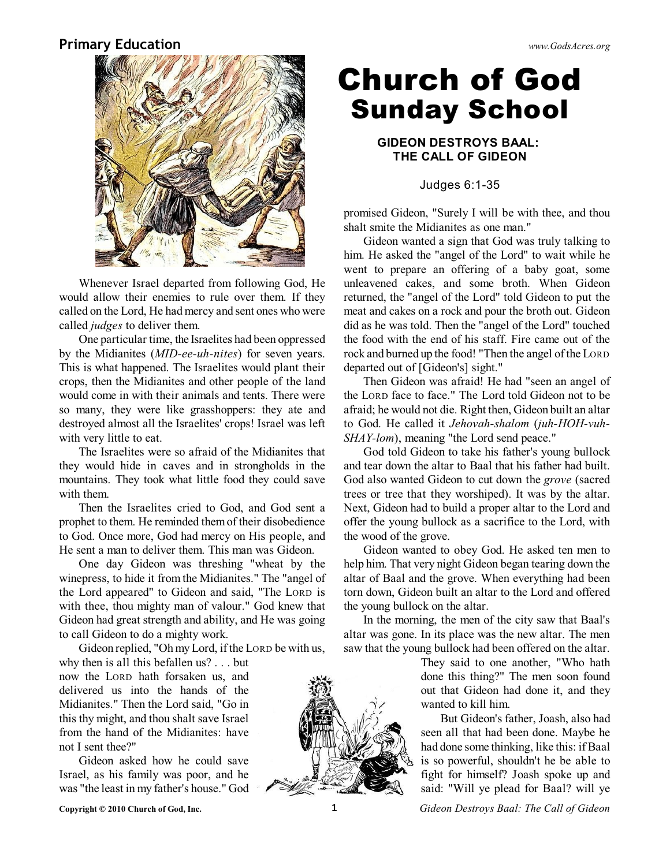### **Primary Education** *www.GodsAcres.org*



Whenever Israel departed from following God, He would allow their enemies to rule over them. If they called on the Lord, He had mercy and sent ones who were called *judges* to deliver them.

One particular time, the Israelites had been oppressed by the Midianites (*MID-ee-uh-nites*) for seven years. This is what happened. The Israelites would plant their crops, then the Midianites and other people of the land would come in with their animals and tents. There were so many, they were like grasshoppers: they ate and destroyed almost all the Israelites' crops! Israel was left with very little to eat.

The Israelites were so afraid of the Midianites that they would hide in caves and in strongholds in the mountains. They took what little food they could save with them.

Then the Israelites cried to God, and God sent a prophet to them. He reminded themof their disobedience to God. Once more, God had mercy on His people, and He sent a man to deliver them. This man was Gideon.

One day Gideon was threshing "wheat by the winepress, to hide it from the Midianites." The "angel of the Lord appeared" to Gideon and said, "The LORD is with thee, thou mighty man of valour." God knew that Gideon had great strength and ability, and He was going to call Gideon to do a mighty work.

Gideon replied, "OhmyLord, ifthe LORD be with us, why then is all this befallen us? . . . but

now the LORD hath forsaken us, and delivered us into the hands of the Midianites." Then the Lord said, "Go in this thy might, and thou shalt save Israel from the hand of the Midianites: have not I sent thee?"

Gideon asked how he could save Israel, as his family was poor, and he was "the least in my father's house." God

# **Church of God Sunday School**

#### **GIDEON DESTROYS BAAL: THE CALL OF GIDEON**

Judges 6:1-35

promised Gideon, "Surely I will be with thee, and thou shalt smite the Midianites as one man."

Gideon wanted a sign that God was truly talking to him. He asked the "angel of the Lord" to wait while he went to prepare an offering of a baby goat, some unleavened cakes, and some broth. When Gideon returned, the "angel of the Lord" told Gideon to put the meat and cakes on a rock and pour the broth out. Gideon did as he was told. Then the "angel of the Lord" touched the food with the end of his staff. Fire came out of the rock and burned up the food! "Then the angel of the LORD departed out of [Gideon's] sight."

Then Gideon was afraid! He had "seen an angel of the LORD face to face." The Lord told Gideon not to be afraid; he would not die. Right then, Gideon built an altar to God. He called it *Jehovah-shalom* (*juh-HOH-vuh-SHAY-lom*), meaning "the Lord send peace."

God told Gideon to take his father's young bullock and tear down the altar to Baal that his father had built. God also wanted Gideon to cut down the *grove* (sacred trees or tree that they worshiped). It was by the altar. Next, Gideon had to build a proper altar to the Lord and offer the young bullock as a sacrifice to the Lord, with the wood of the grove.

Gideon wanted to obey God. He asked ten men to help him. That very night Gideon began tearing down the altar of Baal and the grove. When everything had been torn down, Gideon built an altar to the Lord and offered the young bullock on the altar.

In the morning, the men of the city saw that Baal's altar was gone. In its place was the new altar. The men saw that the young bullock had been offered on the altar.

> They said to one another, "Who hath done this thing?" The men soon found out that Gideon had done it, and they wanted to kill him.

> But Gideon's father, Joash, also had seen all that had been done. Maybe he had done some thinking, like this: if Baal is so powerful, shouldn't he be able to fight for himself? Joash spoke up and said: "Will ye plead for Baal? will ye



**Copyright © 2010 Church of God, Inc. 1** *Gideon Destroys Baal: The Call of Gideon*